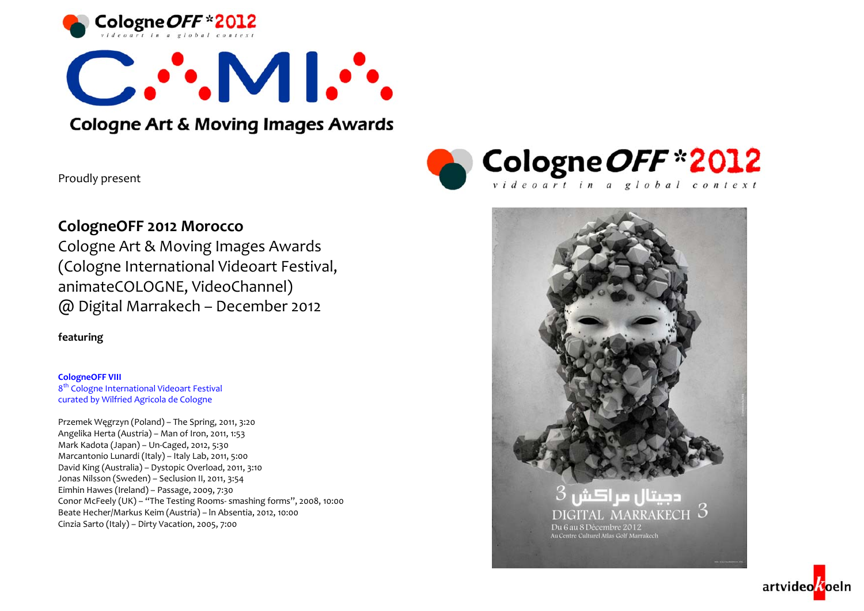



# **Cologne Art & Moving Images Awards**

Proudly presen<sup>t</sup>



Cologne Art & Moving Images Awards (Cologne International Videoart Festival, animateCOLOGNE, VideoChannel) @ Digital Marrakech – December <sup>2012</sup>

**featuring**

**CologneOFF VIII** 8<sup>th</sup> Cologne International Videoart Festival curated by Wilfried Agricola de Cologne

Przemek <sup>W</sup>ęgrzyn (Poland) – The Spring, 2011, 3:20 Angelika Herta (Austria) – Man of Iron, 2011, 1:53 Mark Kadota (Japan) – Un‐Caged, 2012, 5:30 Marcantonio Lunardi (Italy) – Italy Lab, 2011, 5:00 David King (Australia) – Dystopic Overload, 2011, 3:10 Jonas Nilsson (Sweden) – Seclusion II, 2011, 3:54 Eimhin Hawes (Ireland) – Passage, 2009, 7:30 Conor McFeely (UK) – "The Testing Rooms‐ smashing forms", 2008, 10:00 Beate Hecher/Markus Keim (Austria) – ln Absentia, 2012, 10:00 Cinzia Sarto (Italy) – Dirty Vacation, 2005, 7:00





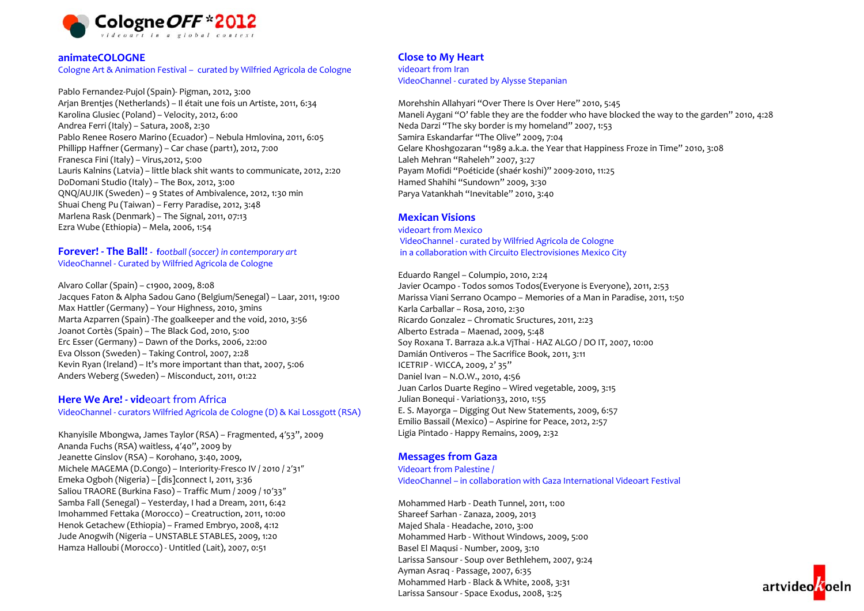

#### **animateCOLOGNE**

#### Cologne Art & Animation Festival – curated by Wilfried Agricola de Cologne

Pablo Fernandez‐Pujol (Spain)‐ Pigman, 2012, 3:00 Arjan Brentjes (Netherlands) – Il était une fois un Artiste, 2011, 6:34 Karolina Glusiec (Poland) – Velocity, 2012, 6:00 Andrea Ferri (Italy) – Satura, 2008, 2:30 Pablo Renee Rosero Marino (Ecuador) – Nebula Hmlovina, 2011, 6:05 Phillipp Haffner (Germany) – Car chase (part1), 2012, 7:00 Franesca Fini (Italy) – Virus,2012, 5:00 Lauris Kalnins (Latvia) – little black shit wants to communicate, 2012, 2:20 DoDomani Studio (Italy) – The Box, 2012, 3:00 QNQ/AUJIK (Sweden) – 9 States of Ambivalence, 2012, 1:30 min Shuai Cheng Pu (Taiwan) – Ferry Paradise, 2012, 3:48 Marlena Rask (Denmark) – The Signal, 2011, 07:13 Ezra Wube (Ethiopia) – Mela, 2006, 1:54

#### **Forever! ‐ The Ball! ‐ f***ootball (soccer) in contemporary art* VideoChannel ‐ Curated by Wilfried Agricola de Cologne

Alvaro Collar (Spain) – c1900, 2009, 8:08 Jacques Faton & Alpha Sadou Gano (Belgium/Senegal) – Laar, 2011, 19:00 Max Hattler (Germany) – Your Highness, 2010, 3mins Marta Azparren (Spain) ‐The goalkeeper and the void, 2010, 3:56 Joanot Cortès (Spain) – The Black God, 2010, 5:00 Erc Esser (Germany) – Dawn of the Dorks, 2006, 22:00 Eva Olsson (Sweden) – Taking Control, 2007, 2:28 Kevin Ryan (Ireland) – It's more important than that, 2007, 5:06 Anders Weberg (Sweden) – Misconduct, 2011, 01:22

#### **Here We Are! ‐ vid**eoart from Africa

VideoChannel ‐ curators Wilfried Agricola de Cologne (D) & Kai Lossgott (RSA)

Khanyisile Mbongwa, James Taylor (RSA) – Fragmented, <sup>4</sup>′53", 2009 Ananda Fuchs (RSA) waitless, <sup>4</sup>′40", 2009 by Jeanette Ginslov (RSA) – Korohano, 3:40, 2009, Michele MAGEMA (D.Congo) – Interiority‐Fresco IV / <sup>2010</sup> / <sup>2</sup>′31″ Emeka Ogboh (Nigeria) – [dis]connect I, 2011, 3:36 Saliou TRAORE (Burkina Faso) – Traffic Mum / 2009 / <sup>10</sup>′33″ Samba Fall (Senegal) – Yesterday, <sup>I</sup> had <sup>a</sup> Dream, 2011, 6:42 Imohammed Fettaka (Morocco) – Creatruction, 2011, 10:00 Henok Getachew (Ethiopia) – Framed Embryo, 2008, 4:12 Jude Anogwih (Nigeria – UNSTABLE STABLES, 2009, 1:20 Hamza Halloubi (Morocco) ‐ Untitled (Lait), 2007, 0:51

#### **Close to My Heart**

videoart from Iran VideoChannel ‐ curated by Alysse Stepanian

Morehshin Allahyari "Over There Is Over Here" 2010, 5:45 Maneli Aygani "O' fable they are the fodder who have blocked the way to the garden" 2010, 4:28 Neda Darzi "The sky border is my homeland" 2007, 1:53 Samira Eskandarfar "The Olive" 2009, 7:04 Gelare Khoshgozaran "1989 a.k.a. the Year that Happiness Froze in Time" 2010, 3:08 Laleh Mehran "Raheleh" 2007, 3:27 Payam Mofidi "Poéticide (shaér koshi)" 2009‐2010, 11:25 Hamed Shahihi "Sundown" 2009, 3:30 Parya Vatankhah "Inevitable" 2010, 3:40

#### **Mexican Visions**

videoart from Mexico VideoChannel ‐ curated by Wilfried Agricola de Cologne in <sup>a</sup> collaboration with Circuito Electrovisiones Mexico City

Eduardo Rangel – Columpio, 2010, 2:24 Javier Ocampo ‐ Todos somos Todos(Everyone is Everyone), 2011, 2:53 Marissa Viani Serrano Ocampo – Memories of <sup>a</sup> Man in Paradise, 2011, 1:50 Karla Carballar – Rosa, 2010, 2:30 Ricardo Gonzalez – Chromatic Sructures, 2011, 2:23 Alberto Estrada – Maenad, 2009, 5:48 Soy Roxana T. Barraza a.k.a VjThai ‐ HAZ ALGO / DO IT, 2007, 10:00 Damián Ontiveros – The Sacrifice Book, 2011, 3:11 ICETRIP ‐ WICCA, 2009, <sup>2</sup>' 35'' Daniel Ivan – N.O.W., 2010, 4:56 Juan Carlos Duarte Regino – Wired vegetable, 2009, 3:15 Julian Bonequi ‐ Variation33, 2010, 1:55 E. S. Mayorga – Digging Out New Statements, 2009, 6:57 Emilio Bassail (Mexico) – Aspirine for Peace, 2012, 2:57 Ligia Pintado ‐ Happy Remains, 2009, 2:32

#### **Messages from Gaza**

Videoart from Palestine / VideoChannel – in collaboration with Gaza International Videoart Festival

Mohammed Harb ‐ Death Tunnel, 2011, 1:00 Shareef Sarhan ‐ Zanaza, 2009, 2013 Majed Shala ‐ Headache, 2010, 3:00 Mohammed Harb ‐ Without Windows, 2009, 5:00 Basel El Maqusi ‐ Number, 2009, 3:10 Larissa Sansour ‐ Soup over Bethlehem, 2007, 9:24 Ayman Asraq ‐ Passage, 2007, 6:35 Mohammed Harb ‐ Black & White, 2008, 3:31 Larissa Sansour ‐ Space Exodus, 2008, 3:25

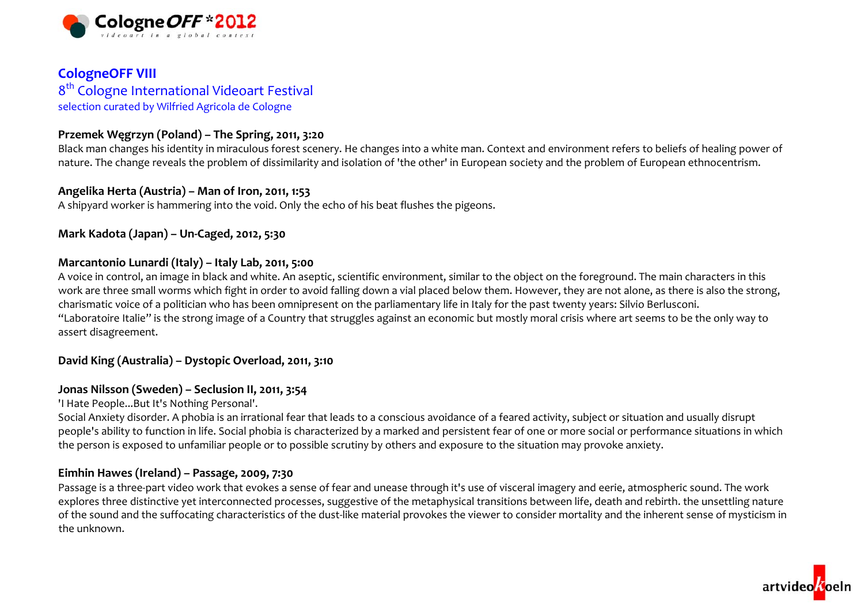

## **CologneOFF VIII** 8<sup>th</sup> Cologne International Videoart Festival selection curated by Wilfried Agricola de Cologne

## **Przemek <sup>W</sup>ęgrzyn (Poland) – The Spring, 2011, 3:20**

Black man changes his identity in miraculous forest scenery. He changes into <sup>a</sup> white man. Context and environment refers to beliefs of healing power of nature. The change reveals the problem of dissimilarity and isolation of 'the other' in European society and the problem of European ethnocentrism.

## **Angelika Herta (Austria) – Man of Iron, 2011, 1:53**

A shipyard worker is hammering into the void. Only the echo of his beat flushes the pigeons.

## **Mark Kadota (Japan) – Un‐Caged, 2012, 5:30**

## **Marcantonio Lunardi (Italy) – Italy Lab, 2011, 5:00**

A voice in control, an image in black and white. An aseptic, scientific environment, similar to the object on the foreground. The main characters in this work are three small worms which fight in order to avoid falling down <sup>a</sup> vial placed below them. However, they are not alone, as there is also the strong, charismatic voice of <sup>a</sup> politician who has been omnipresent on the parliamentary life in Italy for the pas<sup>t</sup> twenty years: Silvio Berlusconi. "Laboratoire Italie" is the strong image of <sup>a</sup> Country that struggles against an economic but mostly moral crisis where art seems to be the only way to assert disagreement.

## **David King (Australia) – Dystopic Overload, 2011, 3:10**

## **Jonas Nilsson (Sweden) – Seclusion II, 2011, 3:54**

'I Hate People...But It's Nothing Personal'.

Social Anxiety disorder. <sup>A</sup> phobia is an irrational fear that leads to <sup>a</sup> conscious avoidance of <sup>a</sup> feared activity, subject or situation and usually disrupt people's ability to function in life. Social phobia is characterized by <sup>a</sup> marked and persistent fear of one or more social or performance situations in which the person is exposed to unfamiliar people or to possible scrutiny by others and exposure to the situation may provoke anxiety.

## **Eimhin Hawes (Ireland) – Passage, 2009, 7:30**

Passage is a three-part video work that evokes a sense of fear and unease through it's use of visceral imagery and eerie, atmospheric sound. The work explores three distinctive yet interconnected processes, suggestive of the metaphysical transitions between life, death and rebirth. the unsettling nature of the sound and the suffocating characteristics of the dust‐like material provokes the viewer to consider mortality and the inherent sense of mysticism in the unknown.

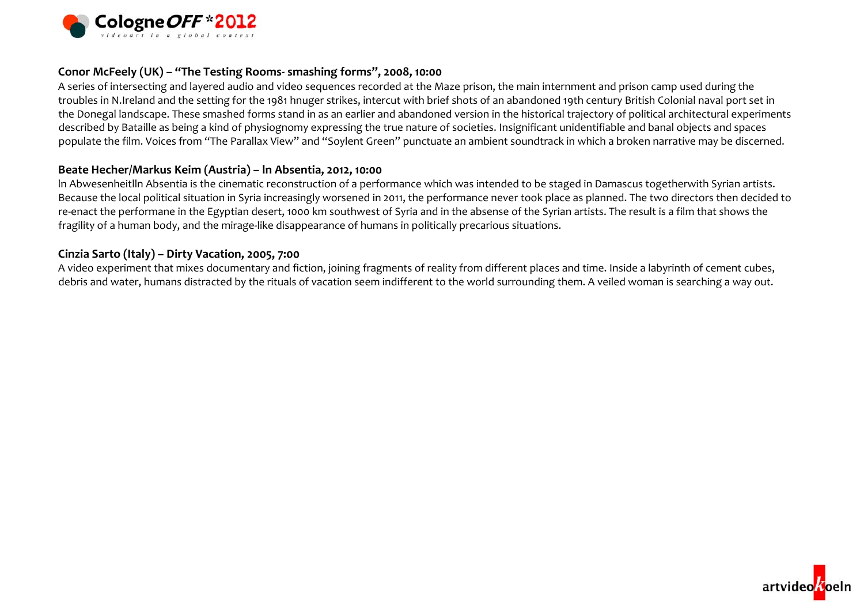

## **Conor McFeely (UK) – "The Testing Rooms‐ smashing forms", 2008, 10:00**

A series of intersecting and layered audio and video sequences recorded at the Maze prison, the main internment and prison camp used during the troubles in N.Ireland and the setting for the 1981 hnuger strikes, intercut with brief shots of an abandoned 19th century British Colonial naval por<sup>t</sup> set in the Donegal landscape. These smashed forms stand in as an earlier and abandoned version in the historical trajectory of political architectural experiments described by Bataille as being <sup>a</sup> kind of physiognomy expressing the true nature of societies. Insignificant unidentifiable and banal objects and spaces populate the film. Voices from "The Parallax View" and "Soylent Green" punctuate an ambient soundtrack in which <sup>a</sup> broken narrative may be discerned.

### **Beate Hecher/Markus Keim (Austria) – ln Absentia, 2012, 10:00**

ln Abwesenheitlln Absentia is the cinematic reconstruction of <sup>a</sup> performance which was intended to be staged in Damascus togetherwith Syrian artists. Because the local political situation in Syria increasingly worsened in 2011, the performance never took place as planned. The two directors then decided to re‐enact the performane in the Egyptian desert, <sup>1000</sup> km southwest of Syria and in the absense of the Syrian artists. The result is <sup>a</sup> film that shows the fragility of <sup>a</sup> human body, and the mirage‐like disappearance of humans in politically precarious situations.

### **Cinzia Sarto (Italy) – Dirty Vacation, 2005, 7:00**

A video experiment that mixes documentary and fiction, joining fragments of reality from different places and time. Inside <sup>a</sup> labyrinth of cement cubes, debris and water, humans distracted by the rituals of vacation seem indifferent to the world surrounding them. <sup>A</sup> veiled woman is searching <sup>a</sup> way out.

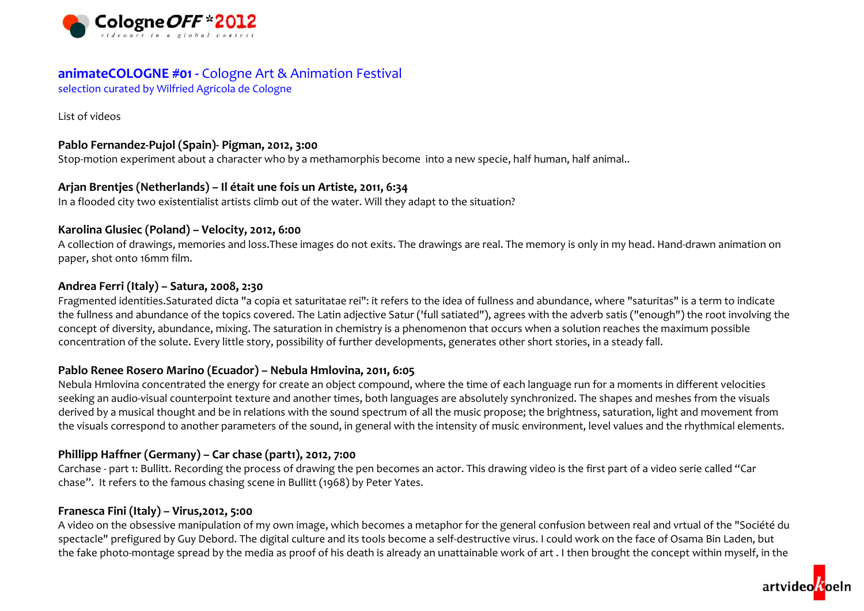

## **animateCOLOGNE #01 ‐** Cologne Art & Animation Festival

selection curated by Wilfried Agricola de Cologne

List of videos

## **Pablo Fernandez‐Pujol (Spain)‐ Pigman, 2012, 3:00**

Stop-motion experiment about a character who by a methamorphis become into a new specie, half human, half animal..

## **Arjan Brentjes (Netherlands) – Il était une fois un Artiste, 2011, 6:34**

In <sup>a</sup> flooded city two existentialist artists climb out of the water. Will they adapt to the situation?

## **Karolina Glusiec (Poland) – Velocity, 2012, 6:00**

A collection of drawings, memories and loss.These images do not exits. The drawings are real. The memory is only in my head. Hand‐drawn animation on paper, shot onto 16mm film.

## **Andrea Ferri (Italy) – Satura, 2008, 2:30**

Fragmented identities.Saturated dicta "a copia et saturitatae rei": it refers to the idea of fullness and abundance, where "saturitas" is <sup>a</sup> term to indicate the fullness and abundance of the topics covered. The Latin adjective Satur ('full satiated"), agrees with the adverb satis ("enough") the root involving the concep<sup>t</sup> of diversity, abundance, mixing. The saturation in chemistry is <sup>a</sup> phenomenon that occurs when <sup>a</sup> solution reaches the maximum possible concentration of the solute. Every little story, possibility of further developments, generates other short stories, in <sup>a</sup> steady fall.

## **Pablo Renee Rosero Marino (Ecuador) – Nebula Hmlovina, 2011, 6:05**

Nebula Hmlovina concentrated the energy for create an object compound, where the time of each language run for <sup>a</sup> moments in different velocities seeking an audio‐visual counterpoint texture and another times, both languages are absolutely synchronized. The shapes and meshes from the visuals derived by <sup>a</sup> musical thought and be in relations with the sound spectrum of all the music propose; the brightness, saturation, light and movement from the visuals correspond to another parameters of the sound, in general with the intensity of music environment, level values and the rhythmical elements.

## **Phillipp Haffner (Germany) – Car chase (part1), 2012, 7:00**

Carchase ‐ par<sup>t</sup> 1: Bullitt. Recording the process of drawing the pen becomes an actor. This drawing video is the first par<sup>t</sup> of <sup>a</sup> video serie called "Car chase". It refers to the famous chasing scene in Bullitt (1968) by Peter Yates.

## **Franesca Fini (Italy) – Virus,2012, 5:00**

A video on the obsessive manipulation of my own image, which becomes <sup>a</sup> metaphor for the general confusion between real and vrtual of the "Société du spectacle" prefigured by Guy Debord. The digital culture and its tools become a self-destructive virus. I could work on the face of Osama Bin Laden, but the fake photo‐montage spread by the media as proof of his death is already an unattainable work of art . <sup>I</sup> then brought the concep<sup>t</sup> within myself, in the

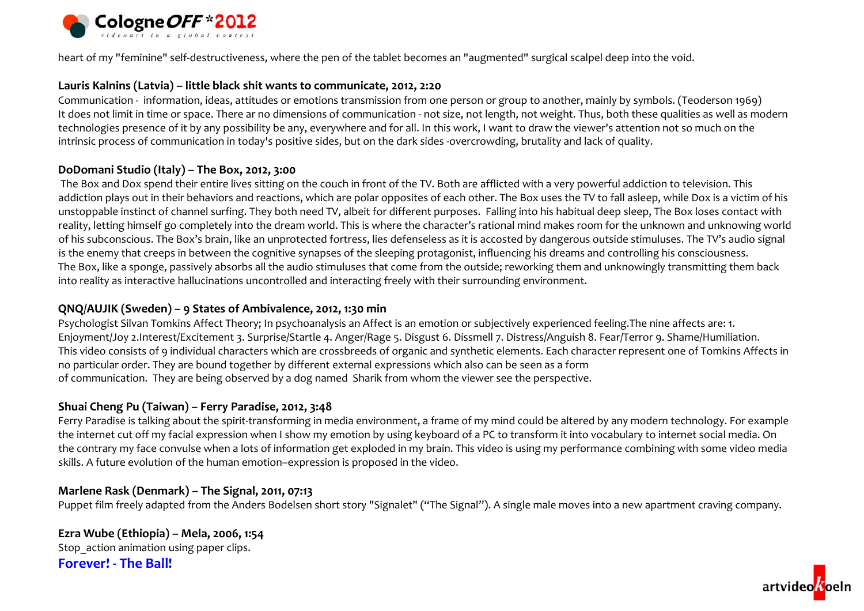

heart of my "feminine" self‐destructiveness, where the pen of the tablet becomes an "augmented" surgical scalpel deep into the void.

### **Lauris Kalnins (Latvia) – little black shit wants to communicate, 2012, 2:20**

Communication ‐ information, ideas, attitudes or emotions transmission from one person or group to another, mainly by symbols. (Teoderson 1969) It does not limit in time or space. There ar no dimensions of communication ‐ not size, not length, not weight. Thus, both these qualities as well as modern technologies presence of it by any possibility be any, everywhere and for all. In this work, <sup>I</sup> want to draw the viewer's attention not so much on the intrinsic process of communication in today's positive sides, but on the dark sides ‐overcrowding, brutality and lack of quality.

### **DoDomani Studio (Italy) – The Box, 2012, 3:00**

The Box and Dox spend their entire lives sitting on the couch in front of the TV. Both are afflicted with <sup>a</sup> very powerful addiction to television. This addiction plays out in their behaviors and reactions, which are polar opposites of each other. The Box uses the TV to fall asleep, while Dox is <sup>a</sup> victim of his unstoppable instinct of channel surfing. They both need TV, albeit for different purposes. Falling into his habitual deep sleep, The Box loses contact with reality, letting himself go completely into the dream world. This is where the character's rational mind makes room for the unknown and unknowing world of his subconscious. The Box's brain, like an unprotected fortress, lies defenseless as it is accosted by dangerous outside stimuluses. The TV's audio signal is the enemy that creeps in between the cognitive synapses of the sleeping protagonist, influencing his dreams and controlling his consciousness. The Box, like <sup>a</sup> sponge, passively absorbs all the audio stimuluses that come from the outside; reworking them and unknowingly transmitting them back into reality as interactive hallucinations uncontrolled and interacting freely with their surrounding environment.

## **QNQ/AUJIK (Sweden) – 9 States of Ambivalence, 2012, 1:30 min**

Psychologist Silvan Tomkins Affect Theory; In psychoanalysis an Affect is an emotion or subjectively experienced feeling.The nine affects are: 1. Enjoyment/Joy 2.Interest/Excitement 3. Surprise/Startle 4. Anger/Rage 5. Disgust 6. Dissmell 7. Distress/Anguish 8. Fear/Terror 9. Shame/Humiliation. This video consists of 9 individual characters which are crossbreeds of organic and synthetic elements. Each character represen<sup>t</sup> one of Tomkins Affects in no particular order. They are bound together by different external expressions which also can be seen as <sup>a</sup> form of communication. They are being observed by <sup>a</sup> dog named Sharik from whom the viewer see the perspective.

## **Shuai Cheng Pu (Taiwan) – Ferry Paradise, 2012, 3:48**

Ferry Paradise is talking about the spirit-transforming in media environment, a frame of my mind could be altered by any modern technology. For example the internet cut off my facial expression when <sup>I</sup> show my emotion by using keyboard of <sup>a</sup> PC to transform it into vocabulary to internet social media. On the contrary my face convulse when <sup>a</sup> lots of information get exploded in my brain. This video is using my performance combining with some video media skills. A future evolution of the human emotion–expression is proposed in the video.

## **Marlene Rask (Denmark) – The Signal, 2011, 07:13**

Puppet film freely adapted from the Anders Bodelsen short story "Signalet" ("The Signal"). <sup>A</sup> single male moves into <sup>a</sup> new apartment craving company.

**Ezra Wube (Ethiopia) – Mela, 2006, 1:54** Stop action animation using paper clips. **Forever! ‐ The Ball!**

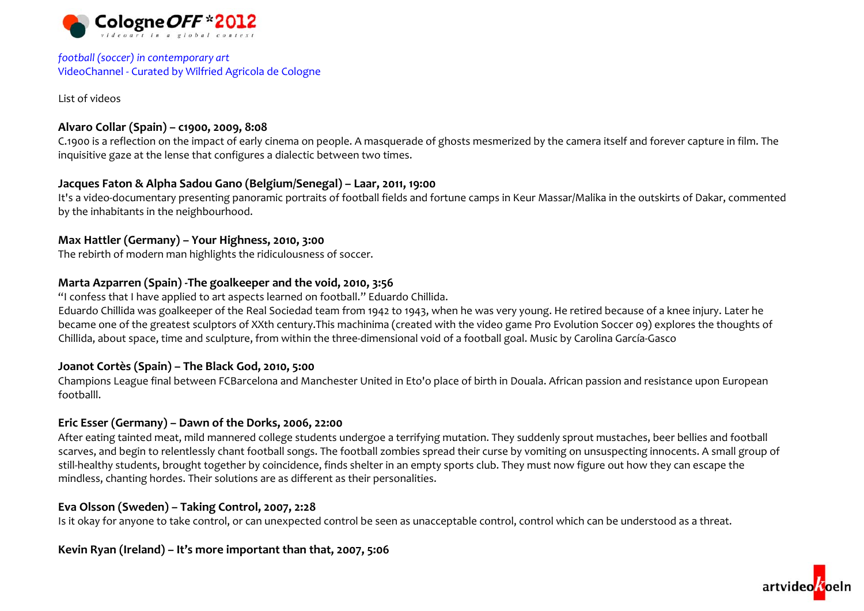

### *football (soccer) in contemporary art* VideoChannel ‐ Curated by Wilfried Agricola de Cologne

List of videos

## **Alvaro Collar (Spain) – c1900, 2009, 8:08**

C.1900 is <sup>a</sup> reflection on the impact of early cinema on people. <sup>A</sup> masquerade of ghosts mesmerized by the camera itself and forever capture in film. The inquisitive gaze at the lense that configures <sup>a</sup> dialectic between two times.

## **Jacques Faton & Alpha Sadou Gano (Belgium/Senegal) – Laar, 2011, 19:00**

It's a video‐documentary presenting panoramic portraits of football fields and fortune camps in Keur Massar/Malika in the outskirts of Dakar, commented by the inhabitants in the neighbourhood.

## **Max Hattler (Germany) – Your Highness, 2010, 3:00**

The rebirth of modern man highlights the ridiculousness of soccer.

## **Marta Azparren (Spain) ‐The goalkeeper and the void, 2010, 3:56**

"I confess that I have applied to art aspects learned on football." Eduardo Chillida.

Eduardo Chillida was goalkeeper of the Real Sociedad team from 1942 to 1943, when he was very young. He retired because of <sup>a</sup> knee injury. Later he became one of the greatest sculptors of XXth century.This machinima (created with the video game Pro Evolution Soccer 09) explores the thoughts of Chillida, about space, time and sculpture, from within the three‐dimensional void of <sup>a</sup> football goal. Music by Carolina García‐Gasco

## **Joanot Cortès (Spain) – The Black God, 2010, 5:00**

Champions League final between FCBarcelona and Manchester United in Eto'o place of birth in Douala. African passion and resistance upon European footballl.

## **Eric Esser (Germany) – Dawn of the Dorks, 2006, 22:00**

After eating tainted meat, mild mannered college students undergoe <sup>a</sup> terrifying mutation. They suddenly sprou<sup>t</sup> mustaches, beer bellies and football scarves, and begin to relentlessly chant football songs. The football zombies spread their curse by vomiting on unsuspecting innocents. <sup>A</sup> small group of still‐healthy students, brought together by coincidence, finds shelter in an empty sports club. They must now figure out how they can escape the mindless, chanting hordes. Their solutions are as different as their personalities.

## **Eva Olsson (Sweden) – Taking Control, 2007, 2:28**

Is it okay for anyone to take control, or can unexpected control be seen as unacceptable control, control which can be understood as <sup>a</sup> threat.

## **Kevin Ryan (Ireland) – It's more important than that, 2007, 5:06**

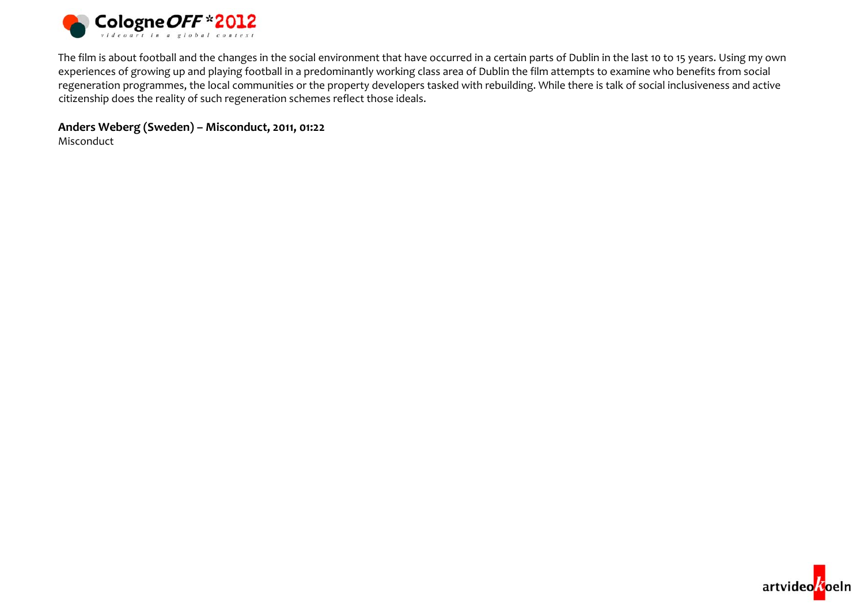

The film is about football and the changes in the social environment that have occurred in <sup>a</sup> certain parts of Dublin in the last <sup>10</sup> to 15 years. Using my own experiences of growing up and playing football in <sup>a</sup> predominantly working class area of Dublin the film attempts to examine who benefits from social regeneration programmes, the local communities or the property developers tasked with rebuilding. While there is talk of social inclusiveness and active citizenship does the reality of such regeneration schemes reflect those ideals.

**Anders Weberg (Sweden) – Misconduct, 2011, 01:22**

Misconduct

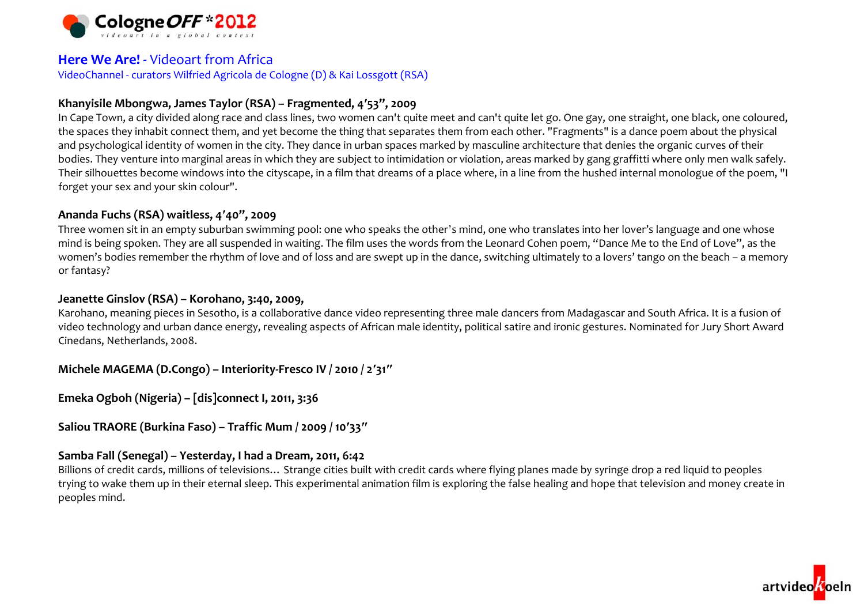

## **Here We Are! ‐** Videoart from Africa

VideoChannel ‐ curators Wilfried Agricola de Cologne (D) & Kai Lossgott (RSA)

## **Khanyisile Mbongwa, James Taylor (RSA) – Fragmented, <sup>4</sup>′53", 2009**

In Cape Town, <sup>a</sup> city divided along race and class lines, two women can't quite meet and can't quite let go. One gay, one straight, one black, one coloured, the spaces they inhabit connect them, and yet become the thing that separates them from each other. "Fragments" is <sup>a</sup> dance poem about the physical and psychological identity of women in the city. They dance in urban spaces marked by masculine architecture that denies the organic curves of their bodies. They venture into marginal areas in which they are subject to intimidation or violation, areas marked by gang graffitti where only men walk safely. Their silhouettes become windows into the cityscape, in <sup>a</sup> film that dreams of <sup>a</sup> place where, in <sup>a</sup> line from the hushed internal monologue of the poem, "I forget your sex and your skin colour".

## **Ananda Fuchs (RSA) waitless, <sup>4</sup>′40", 2009**

Three women sit in an empty suburban swimming pool: one who speaks the other'<sup>s</sup> mind, one who translates into her lover's language and one whose mind is being spoken. They are all suspended in waiting. The film uses the words from the Leonard Cohen poem, "Dance Me to the End of Love", as the women's bodies remember the rhythm of love and of loss and are swep<sup>t</sup> up in the dance, switching ultimately to <sup>a</sup> lovers' tango on the beach – <sup>a</sup> memory or fantasy?

### **Jeanette Ginslov (RSA) – Korohano, 3:40, 2009,**

Karohano, meaning pieces in Sesotho, is <sup>a</sup> collaborative dance video representing three male dancers from Madagascar and South Africa. It is <sup>a</sup> fusion of video technology and urban dance energy, revealing aspects of African male identity, political satire and ironic gestures. Nominated for Jury Short Award Cinedans, Netherlands, 2008.

**Michele MAGEMA (D.Congo) – Interiority‐Fresco IV / <sup>2010</sup> / <sup>2</sup>′31″**

**Emeka Ogboh (Nigeria) – [dis]connect I, 2011, 3:36**

**Saliou TRAORE (Burkina Faso) – Traffic Mum / 2009 / <sup>10</sup>′33″**

## **Samba Fall (Senegal) – Yesterday, <sup>I</sup> had <sup>a</sup> Dream, 2011, 6:42**

Billions of credit cards, millions of televisions… Strange cities built with credit cards where flying planes made by syringe drop <sup>a</sup> red liquid to peoples trying to wake them up in their eternal sleep. This experimental animation film is exploring the false healing and hope that television and money create in peoples mind.

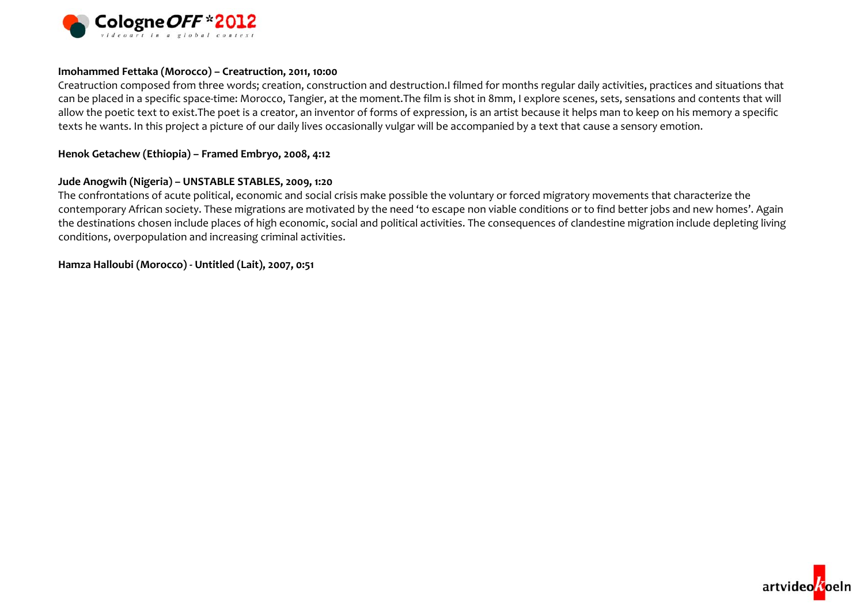

#### **Imohammed Fettaka (Morocco) – Creatruction, 2011, 10:00**

Creatruction composed from three words; creation, construction and destruction.I filmed for months regular daily activities, practices and situations that can be placed in <sup>a</sup> specific space‐time: Morocco, Tangier, at the moment.The film is shot in 8mm, <sup>I</sup> explore scenes, sets, sensations and contents that will allow the poetic text to exist.The poe<sup>t</sup> is <sup>a</sup> creator, an inventor of forms of expression, is an artist because it helps man to keep on his memory <sup>a</sup> specific texts he wants. In this project <sup>a</sup> picture of our daily lives occasionally vulgar will be accompanied by <sup>a</sup> text that cause <sup>a</sup> sensory emotion.

#### **Henok Getachew (Ethiopia) – Framed Embryo, 2008, 4:12**

#### **Jude Anogwih (Nigeria) – UNSTABLE STABLES, 2009, 1:20**

The confrontations of acute political, economic and social crisis make possible the voluntary or forced migratory movements that characterize the contemporary African society. These migrations are motivated by the need 'to escape non viable conditions or to find better jobs and new homes'. Again the destinations chosen include places of high economic, social and political activities. The consequences of clandestine migration include depleting living conditions, overpopulation and increasing criminal activities.

**Hamza Halloubi (Morocco) ‐ Untitled (Lait), 2007, 0:51**

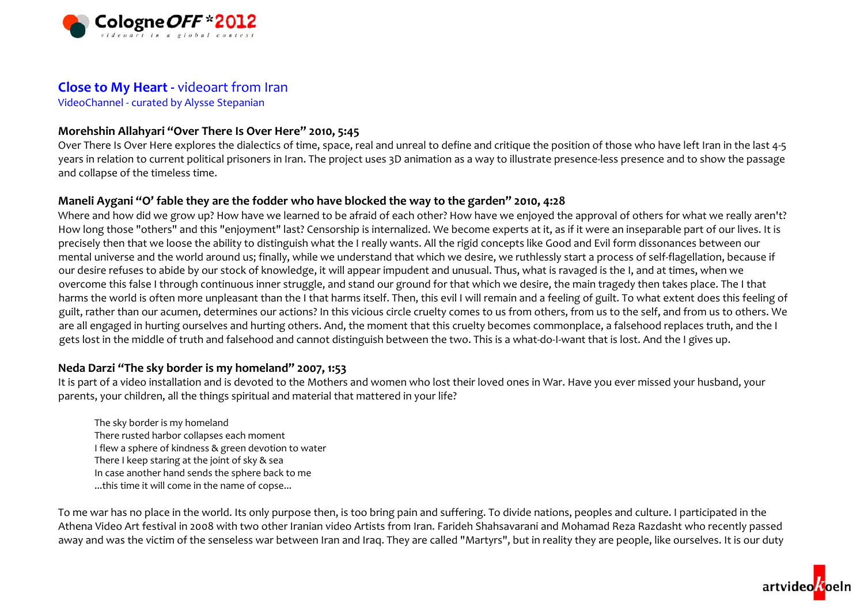

## **Close to My Heart ‐** videoart from Iran

VideoChannel ‐ curated by Alysse Stepanian

## **Morehshin Allahyari "Over There Is Over Here" 2010, 5:45**

Over There Is Over Here explores the dialectics of time, space, real and unreal to define and critique the position of those who have left Iran in the last 4‐5 years in relation to current political prisoners in Iran. The project uses 3D animation as <sup>a</sup> way to illustrate presence‐less presence and to show the passage and collapse of the timeless time.

## Maneli Aygani "O' fable they are the fodder who have blocked the way to the garden" 2010, 4:28

Where and how did we grow up? How have we learned to be afraid of each other? How have we enjoyed the approval of others for what we really aren't? How long those "others" and this "enjoyment" last? Censorship is internalized. We become experts at it, as if it were an inseparable par<sup>t</sup> of our lives. It is precisely then that we loose the ability to distinguish what the <sup>I</sup> really wants. All the rigid concepts like Good and Evil form dissonances between our mental universe and the world around us; finally, while we understand that which we desire, we ruthlessly start <sup>a</sup> process of self‐flagellation, because if our desire refuses to abide by our stock of knowledge, it will appear impudent and unusual. Thus, what is ravaged is the I, and at times, when we overcome this false <sup>I</sup> through continuous inner struggle, and stand our ground for that which we desire, the main tragedy then takes place. The <sup>I</sup> that harms the world is often more unpleasant than the <sup>I</sup> that harms itself. Then, this evil <sup>I</sup> will remain and <sup>a</sup> feeling of guilt. To what extent does this feeling of guilt, rather than our acumen, determines our actions? In this vicious circle cruelty comes to us from others, from us to the self, and from us to others. We are all engaged in hurting ourselves and hurting others. And, the moment that this cruelty becomes commonplace, <sup>a</sup> falsehood replaces truth, and the <sup>I</sup> gets lost in the middle of truth and falsehood and cannot distinguish between the two. This is a what-do-I-want that is lost. And the I gives up.

## **Neda Darzi "The sky border is my homeland" 2007, 1:53**

It is par<sup>t</sup> of <sup>a</sup> video installation and is devoted to the Mothers and women who lost their loved ones in War. Have you ever missed your husband, your parents, your children, all the things spiritual and material that mattered in your life?

The sky border is my homeland There rusted harbor collapses each moment I flew <sup>a</sup> sphere of kindness & green devotion to water There <sup>I</sup> keep staring at the joint of sky & sea In case another hand sends the sphere back to me ...this time it will come in the name of copse...

To me war has no place in the world. Its only purpose then, is too bring pain and suffering. To divide nations, peoples and culture. <sup>I</sup> participated in the Athena Video Art festival in 2008 with two other Iranian video Artists from Iran. Farideh Shahsavarani and Mohamad Reza Razdasht who recently passed away and was the victim of the senseless war between Iran and Iraq. They are called "Martyrs", but in reality they are people, like ourselves. It is our duty

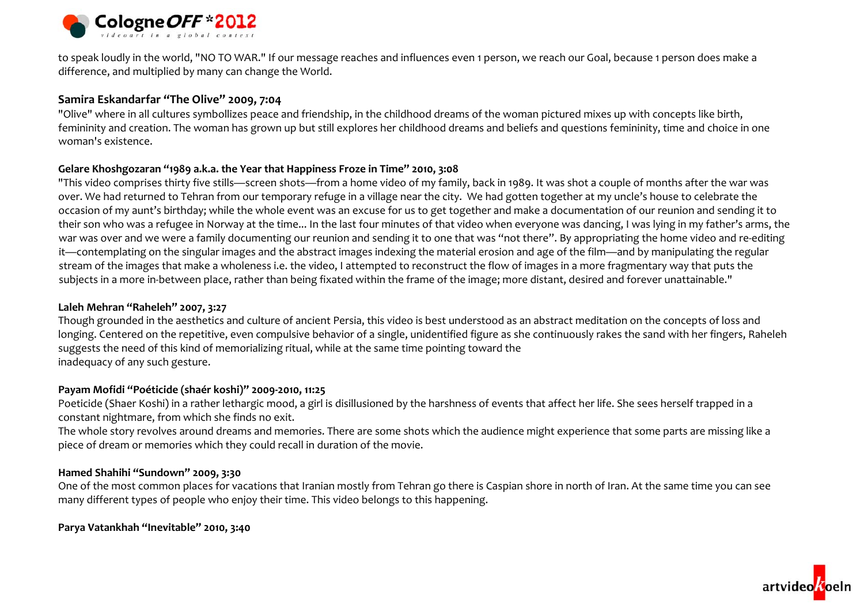

to speak loudly in the world, "NO TO WAR." If our message reaches and influences even <sup>1</sup> person, we reach our Goal, because <sup>1</sup> person does make <sup>a</sup> difference, and multiplied by many can change the World.

### **Samira Eskandarfar "The Olive" 2009, 7:04**

"Olive" where in all cultures symbollizes peace and friendship, in the childhood dreams of the woman pictured mixes up with concepts like birth, femininity and creation. The woman has grown up but still explores her childhood dreams and beliefs and questions femininity, time and choice in one woman's existence.

### **Gelare Khoshgozaran "1989 a.k.a. the Year that Happiness Froze in Time" 2010, 3:08**

"This video comprises thirty five stills—screen shots—from <sup>a</sup> home video of my family, back in 1989. It was shot <sup>a</sup> couple of months after the war was over. We had returned to Tehran from our temporary refuge in <sup>a</sup> village near the city. We had gotten together at my uncle's house to celebrate the occasion of my aunt's birthday; while the whole event was an excuse for us to get together and make <sup>a</sup> documentation of our reunion and sending it to their son who was <sup>a</sup> refugee in Norway at the time... In the last four minutes of that video when everyone was dancing, <sup>I</sup> was lying in my father's arms, the war was over and we were <sup>a</sup> family documenting our reunion and sending it to one that was "not there". By appropriating the home video and re‐editing it—contemplating on the singular images and the abstract images indexing the material erosion and age of the film—and by manipulating the regular stream of the images that make <sup>a</sup> wholeness i.e. the video, <sup>I</sup> attempted to reconstruct the flow of images in <sup>a</sup> more fragmentary way that puts the subjects in a more in-between place, rather than being fixated within the frame of the image; more distant, desired and forever unattainable."

#### **Laleh Mehran "Raheleh" 2007, 3:27**

Though grounded in the aesthetics and culture of ancient Persia, this video is best understood as an abstract meditation on the concepts of loss and longing. Centered on the repetitive, even compulsive behavior of <sup>a</sup> single, unidentified figure as she continuously rakes the sand with her fingers, Raheleh suggests the need of this kind of memorializing ritual, while at the same time pointing toward the inadequacy of any such gesture.

### **Payam Mofidi "Poéticide (shaér koshi)" 2009‐2010, 11:25**

Poeticide (Shaer Koshi) in <sup>a</sup> rather lethargic mood, <sup>a</sup> girl is disillusioned by the harshness of events that affect her life. She sees herself trapped in <sup>a</sup> constant nightmare, from which she finds no exit.

The whole story revolves around dreams and memories. There are some shots which the audience might experience that some parts are missing like <sup>a</sup> piece of dream or memories which they could recall in duration of the movie.

### **Hamed Shahihi "Sundown" 2009, 3:30**

One of the most common places for vacations that Iranian mostly from Tehran go there is Caspian shore in north of Iran. At the same time you can see many different types of people who enjoy their time. This video belongs to this happening.

### **Parya Vatankhah "Inevitable" 2010, 3:40**

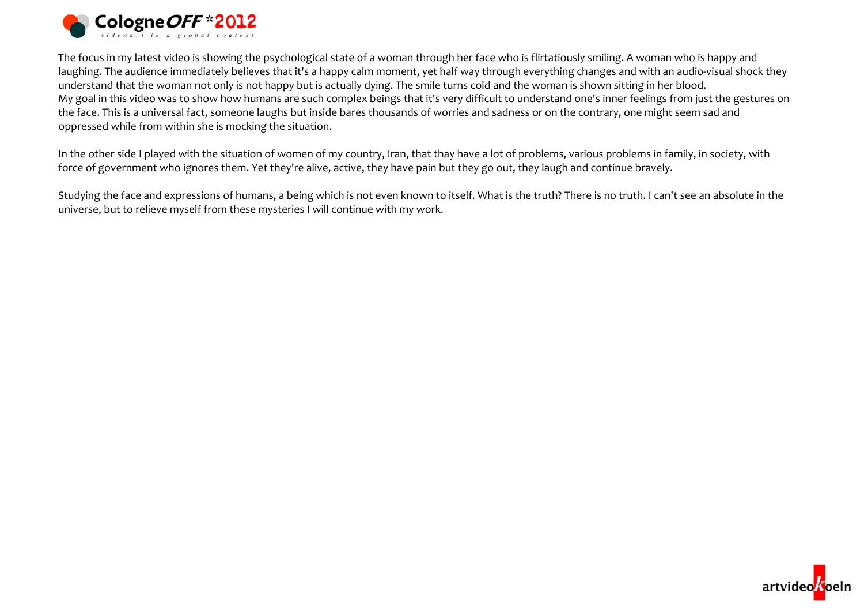

The focus in my latest video is showing the psychological state of <sup>a</sup> woman through her face who is flirtatiously smiling. <sup>A</sup> woman who is happy and laughing. The audience immediately believes that it's <sup>a</sup> happy calm moment, yet half way through everything changes and with an audio‐visual shock they understand that the woman not only is not happy but is actually dying. The smile turns cold and the woman is shown sitting in her blood. My goal in this video was to show how humans are such complex beings that it's very difficult to understand one's inner feelings from just the gestures on the face. This is <sup>a</sup> universal fact, someone laughs but inside bares thousands of worries and sadness or on the contrary, one might seem sad and oppressed while from within she is mocking the situation.

In the other side <sup>I</sup> played with the situation of women of my country, Iran, that thay have <sup>a</sup> lot of problems, various problems in family, in society, with force of government who ignores them. Yet they're alive, active, they have pain but they go out, they laugh and continue bravely.

Studying the face and expressions of humans, <sup>a</sup> being which is not even known to itself. What is the truth? There is no truth. <sup>I</sup> can't see an absolute in the universe, but to relieve myself from these mysteries <sup>I</sup> will continue with my work.

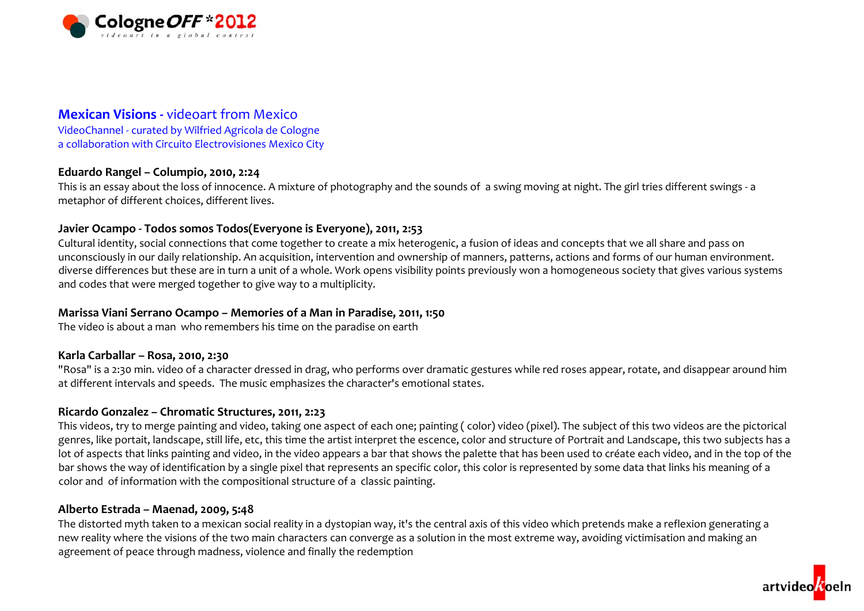

## **Mexican Visions ‐** videoart from Mexico

VideoChannel ‐ curated by Wilfried Agricola de Cologne a collaboration with Circuito Electrovisiones Mexico City

## **Eduardo Rangel – Columpio, 2010, 2:24**

This is an essay about the loss of innocence. <sup>A</sup> mixture of photography and the sounds of <sup>a</sup> swing moving at night. The girl tries different swings ‐ <sup>a</sup> metaphor of different choices, different lives.

## **Javier Ocampo ‐ Todos somos Todos(Everyone is Everyone), 2011, 2:53**

Cultural identity, social connections that come together to create <sup>a</sup> mix heterogenic, <sup>a</sup> fusion of ideas and concepts that we all share and pass on unconsciously in our daily relationship. An acquisition, intervention and ownership of manners, patterns, actions and forms of our human environment. diverse differences but these are in turn <sup>a</sup> unit of <sup>a</sup> whole. Work opens visibility points previously won <sup>a</sup> homogeneous society that gives various systems and codes that were merged together to give way to <sup>a</sup> multiplicity.

## **Marissa Viani Serrano Ocampo – Memories of <sup>a</sup> Man in Paradise, 2011, 1:50**

The video is about <sup>a</sup> man who remembers his time on the paradise on earth

## **Karla Carballar – Rosa, 2010, 2:30**

"Rosa" is <sup>a</sup> 2:30 min. video of <sup>a</sup> character dressed in drag, who performs over dramatic gestures while red roses appear, rotate, and disappear around him at different intervals and speeds. The music emphasizes the character's emotional states.

## **Ricardo Gonzalez – Chromatic Structures, 2011, 2:23**

This videos, try to merge painting and video, taking one aspec<sup>t</sup> of each one; painting ( color) video (pixel). The subject of this two videos are the pictorical genres, like portait, landscape, still life, etc, this time the artist interpret the escence, color and structure of Portrait and Landscape, this two subjects has <sup>a</sup> lot of aspects that links painting and video, in the video appears <sup>a</sup> bar that shows the palette that has been used to créate each video, and in the top of the bar shows the way of identification by <sup>a</sup> single pixel that represents an specific color, this color is represented by some data that links his meaning of <sup>a</sup> color and of information with the compositional structure of <sup>a</sup> classic painting.

## **Alberto Estrada – Maenad, 2009, 5:48**

The distorted myth taken to <sup>a</sup> mexican social reality in <sup>a</sup> dystopian way, it's the central axis of this video which pretends make <sup>a</sup> reflexion generating <sup>a</sup> new reality where the visions of the two main characters can converge as <sup>a</sup> solution in the most extreme way, avoiding victimisation and making an agreement of peace through madness, violence and finally the redemption

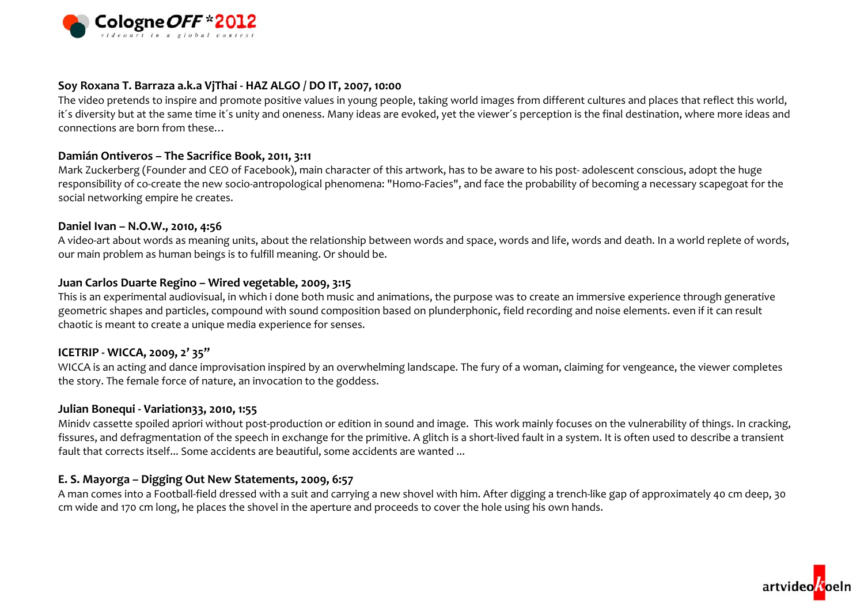

### **Soy Roxana T. Barraza a.k.a VjThai ‐ HAZ ALGO / DO IT, 2007, 10:00**

The video pretends to inspire and promote positive values in young people, taking world images from different cultures and places that reflect this world, it´s diversity but at the same time it´s unity and oneness. Many ideas are evoked, yet the viewer´s perception is the final destination, where more ideas and connections are born from these…

#### **Damián Ontiveros – The Sacrifice Book, 2011, 3:11**

Mark Zuckerberg (Founder and CEO of Facebook), main character of this artwork, has to be aware to his post‐ adolescent conscious, adopt the huge responsibility of co-create the new socio-antropological phenomena: "Homo-Facies", and face the probability of becoming a necessary scapegoat for the social networking empire he creates.

#### **Daniel Ivan – N.O.W., 2010, 4:56**

A video‐art about words as meaning units, about the relationship between words and space, words and life, words and death. In <sup>a</sup> world replete of words, our main problem as human beings is to fulfill meaning. Or should be.

## **Juan Carlos Duarte Regino – Wired vegetable, 2009, 3:15**

This is an experimental audiovisual, in which i done both music and animations, the purpose was to create an immersive experience through generative geometric shapes and particles, compound with sound composition based on plunderphonic, field recording and noise elements. even if it can result chaotic is meant to create <sup>a</sup> unique media experience for senses.

## **ICETRIP ‐ WICCA, 2009, <sup>2</sup>' 35''**

WICCA is an acting and dance improvisation inspired by an overwhelming landscape. The fury of <sup>a</sup> woman, claiming for vengeance, the viewer completes the story. The female force of nature, an invocation to the goddess.

### **Julian Bonequi ‐ Variation33, 2010, 1:55**

Minidv cassette spoiled apriori without post‐production or edition in sound and image. This work mainly focuses on the vulnerability of things. In cracking, fissures, and defragmentation of the speech in exchange for the primitive. A glitch is a short-lived fault in a system. It is often used to describe a transient fault that corrects itself... Some accidents are beautiful, some accidents are wanted ...

## **E. S. Mayorga – Digging Out New Statements, 2009, 6:57**

A man comes into <sup>a</sup> Football‐field dressed with <sup>a</sup> suit and carrying <sup>a</sup> new shovel with him. After digging <sup>a</sup> trench‐like gap of approximately 40 cm deep, 30 cm wide and 170 cm long, he places the shovel in the aperture and proceeds to cover the hole using his own hands.

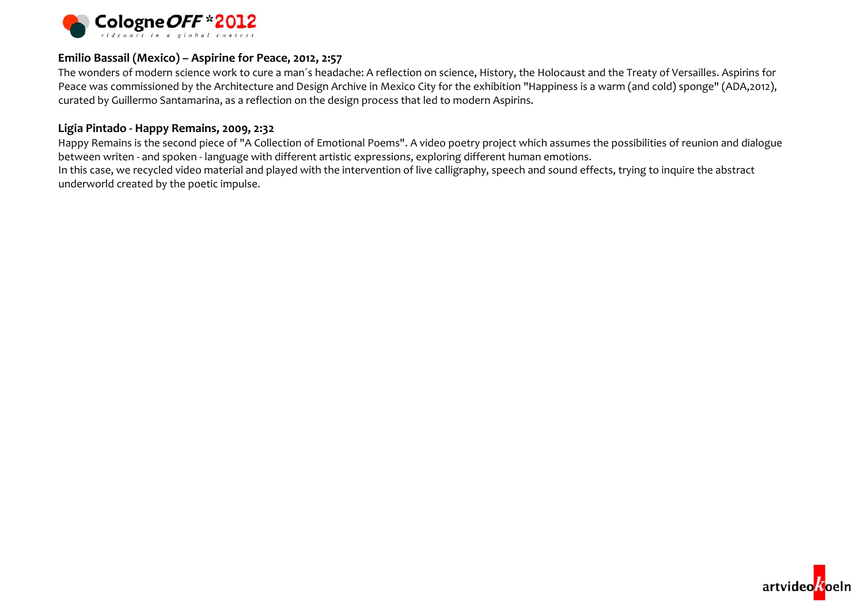

### **Emilio Bassail (Mexico) – Aspirine for Peace, 2012, 2:57**

The wonders of modern science work to cure <sup>a</sup> man´s headache: A reflection on science, History, the Holocaust and the Treaty of Versailles. Aspirins for Peace was commissioned by the Architecture and Design Archive in Mexico City for the exhibition "Happiness is <sup>a</sup> warm (and cold) sponge" (ADA,2012), curated by Guillermo Santamarina, as <sup>a</sup> reflection on the design process that led to modern Aspirins.

#### **Ligia Pintado ‐ Happy Remains, 2009, 2:32**

Happy Remains is the second piece of "A Collection of Emotional Poems". <sup>A</sup> video poetry project which assumes the possibilities of reunion and dialogue between writen ‐ and spoken ‐ language with different artistic expressions, exploring different human emotions.

In this case, we recycled video material and played with the intervention of live calligraphy, speech and sound effects, trying to inquire the abstract underworld created by the poetic impulse.

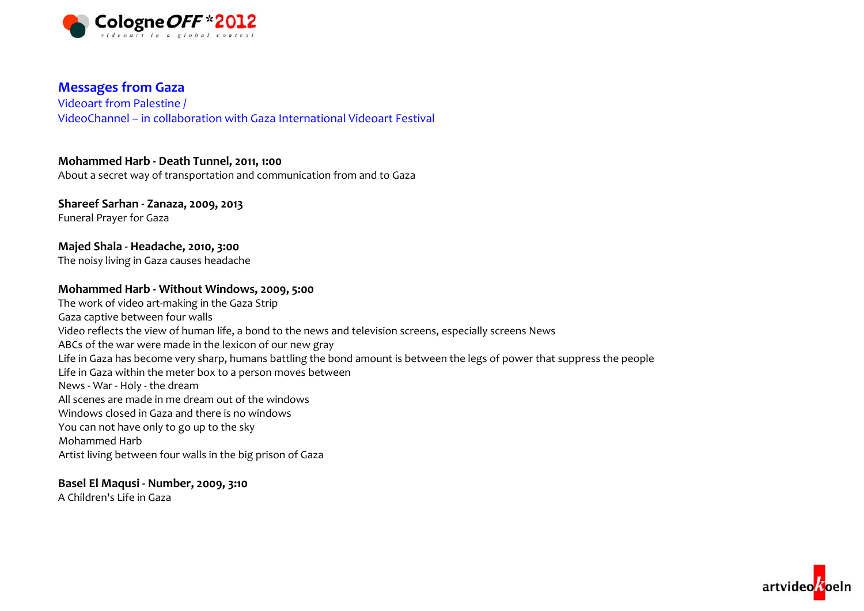

## **Messages from Gaza**

Videoart from Palestine / VideoChannel – in collaboration with Gaza International Videoart Festival

## **Mohammed Harb ‐ Death Tunnel, 2011, 1:00**

About a secret way of transportation and communication from and to Gaza

# **Shareef Sarhan ‐ Zanaza, 2009, 2013**

Funeral Prayer for Gaza

## **Majed Shala ‐ Headache, 2010, 3:00**

The noisy living in Gaza causes headache

### **Mohammed Harb ‐ Without Windows, 2009, 5:00**

The work of video art‐making in the Gaza Strip Gaza captive between four walls Video reflects the view of human life, <sup>a</sup> bond to the news and television screens, especially screens News ABCs of the war were made in the lexicon of our new gray Life in Gaza has become very sharp, humans battling the bond amount is between the legs of power that suppress the people Life in Gaza within the meter box to <sup>a</sup> person moves between News ‐ War ‐ Holy ‐ the dream All scenes are made in me dream out of the windows Windows closed in Gaza and there is no windows You can not have only to go up to the sky Mohammed HarbArtist living between four walls in the big prison of Gaza

## **Basel El Maqusi ‐ Number, 2009, 3:10**

A Children's Life in Gaza

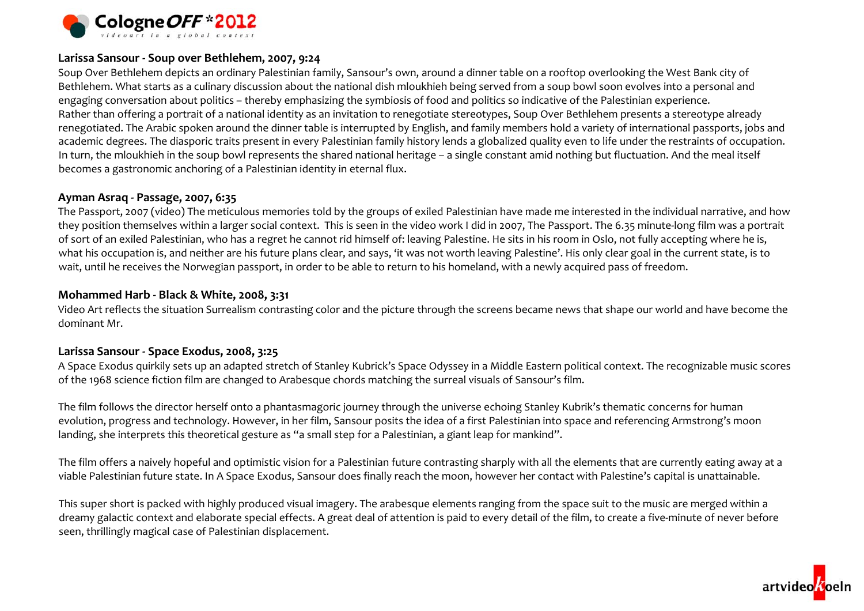

### **Larissa Sansour ‐ Soup over Bethlehem, 2007, 9:24**

Soup Over Bethlehem depicts an ordinary Palestinian family, Sansour's own, around <sup>a</sup> dinner table on <sup>a</sup> rooftop overlooking the West Bank city of Bethlehem. What starts as a culinary discussion about the national dish mloukhieh being served from <sup>a</sup> soup bowl soon evolves into <sup>a</sup> personal and engaging conversation about politics – thereby emphasizing the symbiosis of food and politics so indicative of the Palestinian experience. Rather than offering <sup>a</sup> portrait of <sup>a</sup> national identity as an invitation to renegotiate stereotypes, Soup Over Bethlehem presents <sup>a</sup> stereotype already renegotiated. The Arabic spoken around the dinner table is interrupted by English, and family members hold <sup>a</sup> variety of international passports, jobs and academic degrees. The diasporic traits presen<sup>t</sup> in every Palestinian family history lends <sup>a</sup> globalized quality even to life under the restraints of occupation. In turn, the mloukhieh in the soup bowl represents the shared national heritage – <sup>a</sup> single constant amid nothing but fluctuation. And the meal itself becomes a gastronomic anchoring of <sup>a</sup> Palestinian identity in eternal flux.

#### **Ayman Asraq ‐ Passage, 2007, 6:35**

The Passport, <sup>2007</sup> (video) The meticulous memories told by the groups of exiled Palestinian have made me interested in the individual narrative, and how they position themselves within a larger social context. This is seen in the video work I did in 2007, The Passport. The 6.35 minute-long film was a portrait of sort of an exiled Palestinian, who has <sup>a</sup> regret he cannot rid himself of: leaving Palestine. He sits in his room in Oslo, not fully accepting where he is, what his occupation is, and neither are his future plans clear, and says, 'it was not worth leaving Palestine'. His only clear goal in the current state, is to wait, until he receives the Norwegian passport, in order to be able to return to his homeland, with <sup>a</sup> newly acquired pass of freedom.

### **Mohammed Harb ‐ Black & White, 2008, 3:31**

Video Art reflects the situation Surrealism contrasting color and the picture through the screens became news that shape our world and have become the dominant Mr.

### **Larissa Sansour ‐ Space Exodus, 2008, 3:25**

A Space Exodus quirkily sets up an adapted stretch of Stanley Kubrick's Space Odyssey in <sup>a</sup> Middle Eastern political context. The recognizable music scores of the 1968 science fiction film are changed to Arabesque chords matching the surreal visuals of Sansour's film.

The film follows the director herself onto <sup>a</sup> phantasmagoric journey through the universe echoing Stanley Kubrik's thematic concerns for human evolution, progress and technology. However, in her film, Sansour posits the idea of <sup>a</sup> first Palestinian into space and referencing Armstrong's moon landing, she interprets this theoretical gesture as "a small step for <sup>a</sup> Palestinian, <sup>a</sup> giant leap for mankind".

The film offers <sup>a</sup> naively hopeful and optimistic vision for <sup>a</sup> Palestinian future contrasting sharply with all the elements that are currently eating away at <sup>a</sup> viable Palestinian future state. In A Space Exodus, Sansour does finally reach the moon, however her contact with Palestine's capital is unattainable.

This super short is packed with highly produced visual imagery. The arabesque elements ranging from the space suit to the music are merged within <sup>a</sup> dreamy galactic context and elaborate special effects. <sup>A</sup> great deal of attention is paid to every detail of the film, to create <sup>a</sup> five‐minute of never before seen, thrillingly magical case of Palestinian displacement.